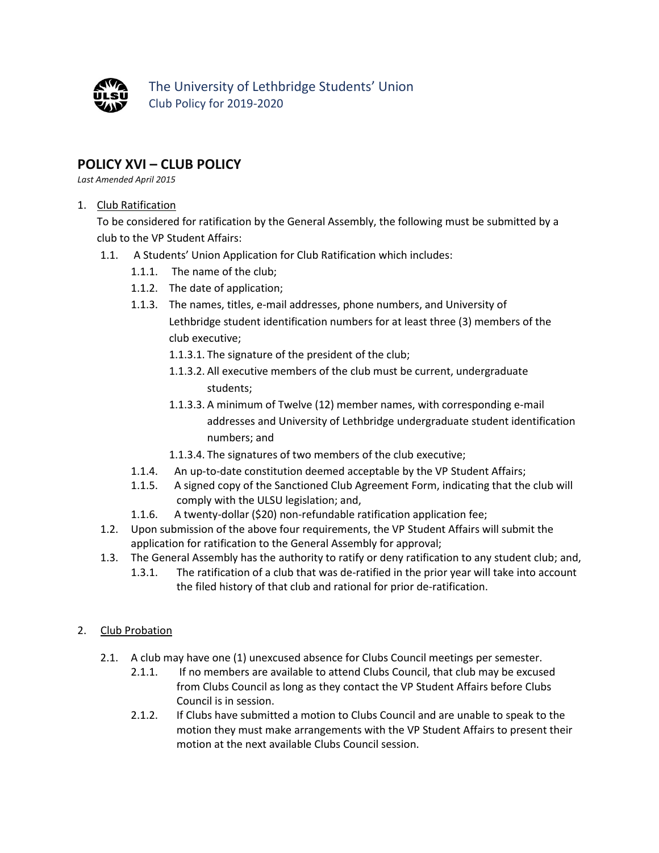

The University of Lethbridge Students' Union Club Policy for 2019-2020

## **POLICY XVI – CLUB POLICY**

*Last Amended April 2015*

## 1. Club Ratification

To be considered for ratification by the General Assembly, the following must be submitted by a club to the VP Student Affairs:

- 1.1. A Students' Union Application for Club Ratification which includes:
	- 1.1.1. The name of the club;
	- 1.1.2. The date of application;
	- 1.1.3. The names, titles, e-mail addresses, phone numbers, and University of Lethbridge student identification numbers for at least three (3) members of the club executive;
		- 1.1.3.1. The signature of the president of the club;
		- 1.1.3.2. All executive members of the club must be current, undergraduate students;
		- 1.1.3.3. A minimum of Twelve (12) member names, with corresponding e-mail addresses and University of Lethbridge undergraduate student identification numbers; and
		- 1.1.3.4. The signatures of two members of the club executive;
	- 1.1.4. An up-to-date constitution deemed acceptable by the VP Student Affairs;
	- 1.1.5. A signed copy of the Sanctioned Club Agreement Form, indicating that the club will comply with the ULSU legislation; and,
	- 1.1.6. A twenty-dollar (\$20) non-refundable ratification application fee;
- 1.2. Upon submission of the above four requirements, the VP Student Affairs will submit the application for ratification to the General Assembly for approval;
- 1.3. The General Assembly has the authority to ratify or deny ratification to any student club; and,
	- 1.3.1. The ratification of a club that was de-ratified in the prior year will take into account the filed history of that club and rational for prior de-ratification.

## 2. Club Probation

- 2.1. A club may have one (1) unexcused absence for Clubs Council meetings per semester.
	- 2.1.1. If no members are available to attend Clubs Council, that club may be excused from Clubs Council as long as they contact the VP Student Affairs before Clubs Council is in session.
	- 2.1.2. If Clubs have submitted a motion to Clubs Council and are unable to speak to the motion they must make arrangements with the VP Student Affairs to present their motion at the next available Clubs Council session.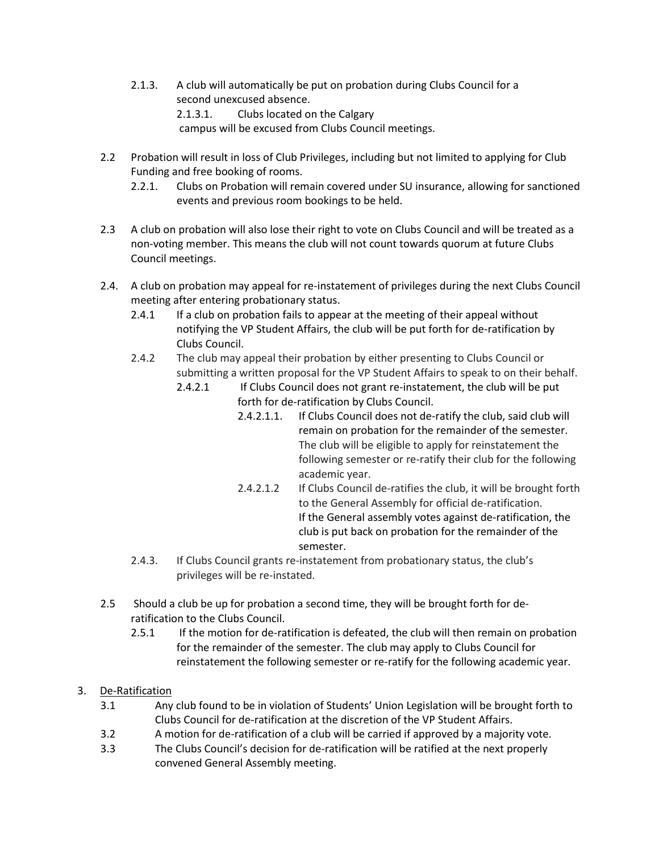2.1.3. A club will automatically be put on probation during Clubs Council for a second unexcused absence. 2.1.3.1. Clubs located on the Calgary

campus will be excused from Clubs Council meetings.

- 2.2 Probation will result in loss of Club Privileges, including but not limited to applying for Club Funding and free booking of rooms.
	- 2.2.1. Clubs on Probation will remain covered under SU insurance, allowing for sanctioned events and previous room bookings to be held.
- 2.3 A club on probation will also lose their right to vote on Clubs Council and will be treated as a non-voting member. This means the club will not count towards quorum at future Clubs Council meetings.
- 2.4. A club on probation may appeal for re-instatement of privileges during the next Clubs Council meeting after entering probationary status.
	- 2.4.1 If a club on probation fails to appear at the meeting of their appeal without notifying the VP Student Affairs, the club will be put forth for de-ratification by Clubs Council.
	- 2.4.2 The club may appeal their probation by either presenting to Clubs Council or submitting a written proposal for the VP Student Affairs to speak to on their behalf.
		- 2.4.2.1 If Clubs Council does not grant re-instatement, the club will be put forth for de-ratification by Clubs Council.
			- 2.4.2.1.1. If Clubs Council does not de-ratify the club, said club will remain on probation for the remainder of the semester. The club will be eligible to apply for reinstatement the following semester or re-ratify their club for the following academic year.
			- 2.4.2.1.2 If Clubs Council de-ratifies the club, it will be brought forth to the General Assembly for official de-ratification. If the General assembly votes against de-ratification, the club is put back on probation for the remainder of the semester.
	- 2.4.3. If Clubs Council grants re-instatement from probationary status, the club's privileges will be re-instated.
- 2.5 Should a club be up for probation a second time, they will be brought forth for deratification to the Clubs Council.
	- 2.5.1 If the motion for de-ratification is defeated, the club will then remain on probation for the remainder of the semester. The club may apply to Clubs Council for reinstatement the following semester or re-ratify for the following academic year.
- 3. De-Ratification
	- 3.1 Any club found to be in violation of Students' Union Legislation will be brought forth to Clubs Council for de-ratification at the discretion of the VP Student Affairs.
	- 3.2 A motion for de-ratification of a club will be carried if approved by a majority vote.
	- 3.3 The Clubs Council's decision for de-ratification will be ratified at the next properly convened General Assembly meeting.